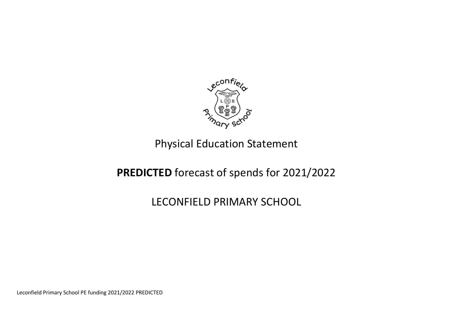

## Physical Education Statement

## **PREDICTED** forecast of spends for 2021/2022

## LECONFIELD PRIMARY SCHOOL

Leconfield Primary School PE funding 2021/2022 PREDICTED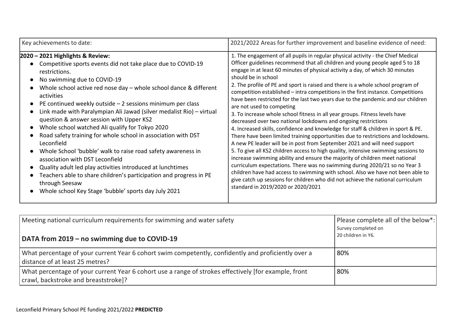| Key achievements to date:                                                                                                                                                                                                                                                                                                                                                                                                                                                                                                                                                                                                                                                                                                                                                                                                                                                   | 2021/2022 Areas for further improvement and baseline evidence of need:                                                                                                                                                                                                                                                                                                                                                                                                                                                                                                                                                                                                                                                                                                                                                                                                                                                                                                                                                                                                                                                                                                                                                                                                                                                                                                                                                                  |  |  |
|-----------------------------------------------------------------------------------------------------------------------------------------------------------------------------------------------------------------------------------------------------------------------------------------------------------------------------------------------------------------------------------------------------------------------------------------------------------------------------------------------------------------------------------------------------------------------------------------------------------------------------------------------------------------------------------------------------------------------------------------------------------------------------------------------------------------------------------------------------------------------------|-----------------------------------------------------------------------------------------------------------------------------------------------------------------------------------------------------------------------------------------------------------------------------------------------------------------------------------------------------------------------------------------------------------------------------------------------------------------------------------------------------------------------------------------------------------------------------------------------------------------------------------------------------------------------------------------------------------------------------------------------------------------------------------------------------------------------------------------------------------------------------------------------------------------------------------------------------------------------------------------------------------------------------------------------------------------------------------------------------------------------------------------------------------------------------------------------------------------------------------------------------------------------------------------------------------------------------------------------------------------------------------------------------------------------------------------|--|--|
| 2020 – 2021 Highlights & Review:<br>Competitive sports events did not take place due to COVID-19<br>restrictions.<br>No swimming due to COVID-19<br>Whole school active red nose day $-$ whole school dance & different<br>activities<br>PE continued weekly outside $-2$ sessions minimum per class<br>Link made with Paralympian Ali Jawad (silver medalist Rio) - virtual<br>question & answer session with Upper KS2<br>Whole school watched Ali qualify for Tokyo 2020<br>Road safety training for whole school in association with DST<br>Leconfield<br>Whole School 'bubble' walk to raise road safety awareness in<br>association with DST Leconfield<br>Quality adult led play activities introduced at lunchtimes<br>Teachers able to share children's participation and progress in PE<br>through Seesaw<br>Whole school Key Stage 'bubble' sports day July 2021 | 1. The engagement of all pupils in regular physical activity - the Chief Medical<br>Officer guidelines recommend that all children and young people aged 5 to 18<br>engage in at least 60 minutes of physical activity a day, of which 30 minutes<br>should be in school<br>2. The profile of PE and sport is raised and there is a whole school program of<br>competition established - intra competitions in the first instance. Competitions<br>have been restricted for the last two years due to the pandemic and our children<br>are not used to competing<br>3. To increase whole school fitness in all year groups. Fitness levels have<br>decreased over two national lockdowns and ongoing restrictions<br>4. Increased skills, confidence and knowledge for staff & children in sport & PE.<br>There have been limited training opportunities due to restrictions and lockdowns.<br>A new PE leader will be in post from September 2021 and will need support<br>5. To give all KS2 children access to high quality, intensive swimming sessions to<br>increase swimming ability and ensure the majority of children meet national<br>curriculum expectations. There was no swimming during 2020/21 so no Year 3<br>children have had access to swimming with school. Also we have not been able to<br>give catch up sessions for children who did not achieve the national curriculum<br>standard in 2019/2020 or 2020/2021 |  |  |

| Meeting national curriculum requirements for swimming and water safety<br>DATA from 2019 - no swimming due to COVID-19                       | Please complete all of the below*:<br>Survey completed on<br>20 children in Y6. |
|----------------------------------------------------------------------------------------------------------------------------------------------|---------------------------------------------------------------------------------|
| What percentage of your current Year 6 cohort swim competently, confidently and proficiently over a<br>distance of at least 25 metres?       | 80%                                                                             |
| What percentage of your current Year 6 cohort use a range of strokes effectively [for example, front<br>crawl, backstroke and breaststroke]? | 80%                                                                             |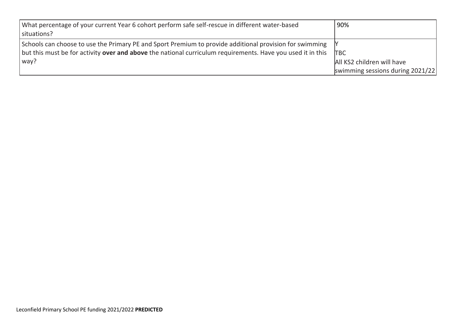| What percentage of your current Year 6 cohort perform safe self-rescue in different water-based<br>situations?                                                                                                            | 90%                                                            |
|---------------------------------------------------------------------------------------------------------------------------------------------------------------------------------------------------------------------------|----------------------------------------------------------------|
| Schools can choose to use the Primary PE and Sport Premium to provide additional provision for swimming  Y<br>but this must be for activity over and above the national curriculum requirements. Have you used it in this | <b>TBC</b>                                                     |
| $ $ way?                                                                                                                                                                                                                  | All KS2 children will have<br>swimming sessions during 2021/22 |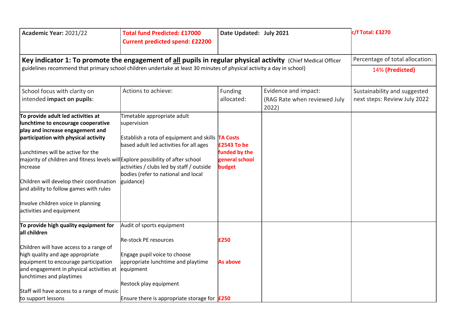| Academic Year: 2021/22                                                                                                                                                                                                                                                                                                                                                                                                                             | <b>Total fund Predicted: £17000</b><br><b>Current predicted spend: £22200</b>                                                                                                                                                                                   | Date Updated: July 2021                                  |                                                      | c/f Total: £3270                                             |
|----------------------------------------------------------------------------------------------------------------------------------------------------------------------------------------------------------------------------------------------------------------------------------------------------------------------------------------------------------------------------------------------------------------------------------------------------|-----------------------------------------------------------------------------------------------------------------------------------------------------------------------------------------------------------------------------------------------------------------|----------------------------------------------------------|------------------------------------------------------|--------------------------------------------------------------|
| Key indicator 1: To promote the engagement of all pupils in regular physical activity (Chief Medical Officer                                                                                                                                                                                                                                                                                                                                       | Percentage of total allocation:                                                                                                                                                                                                                                 |                                                          |                                                      |                                                              |
|                                                                                                                                                                                                                                                                                                                                                                                                                                                    | guidelines recommend that primary school children undertake at least 30 minutes of physical activity a day in school)                                                                                                                                           |                                                          |                                                      |                                                              |
| School focus with clarity on<br>intended impact on pupils:                                                                                                                                                                                                                                                                                                                                                                                         | Actions to achieve:                                                                                                                                                                                                                                             | Funding<br>allocated:                                    | Evidence and impact:<br>(RAG Rate when reviewed July | Sustainability and suggested<br>next steps: Review July 2022 |
| To provide adult led activities at<br>lunchtime to encourage cooperative<br>play and increase engagement and<br>participation with physical activity<br>Lunchtimes will be active for the<br>majority of children and fitness levels will Explore possibility of after school<br>lincrease<br>Children will develop their coordination<br>and ability to follow games with rules<br>Involve children voice in planning<br>activities and equipment | Timetable appropriate adult<br>supervision<br><b>Establish a rota of equipment and skills <math>TA</math> Costs</b><br>based adult led activities for all ages<br>activities / clubs led by staff / outside<br>bodies (refer to national and local<br>guidance) | £2543 To be<br>funded by the<br>general school<br>budget | 2022)                                                |                                                              |
| To provide high quality equipment for<br>all children<br>Children will have access to a range of                                                                                                                                                                                                                                                                                                                                                   | Audit of sports equipment<br>Re-stock PE resources                                                                                                                                                                                                              | £250                                                     |                                                      |                                                              |
| high quality and age appropriate<br>equipment to encourage participation<br>and engagement in physical activities at<br>lunchtimes and playtimes                                                                                                                                                                                                                                                                                                   | Engage pupil voice to choose<br>appropriate lunchtime and playtime<br>equipment                                                                                                                                                                                 | As above                                                 |                                                      |                                                              |
| Staff will have access to a range of music<br>to support lessons                                                                                                                                                                                                                                                                                                                                                                                   | Restock play equipment<br>Ensure there is appropriate storage for $E250$                                                                                                                                                                                        |                                                          |                                                      |                                                              |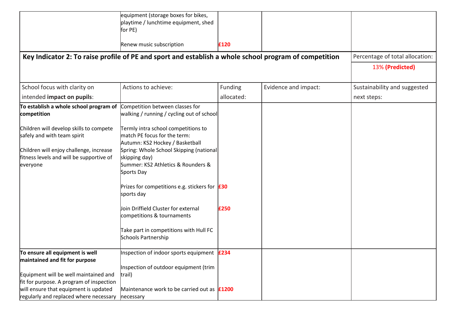|                                                                                                 | equipment (storage boxes for bikes,                                                                          |            |                      |                                 |
|-------------------------------------------------------------------------------------------------|--------------------------------------------------------------------------------------------------------------|------------|----------------------|---------------------------------|
|                                                                                                 | playtime / lunchtime equipment, shed                                                                         |            |                      |                                 |
|                                                                                                 | for PE)                                                                                                      |            |                      |                                 |
|                                                                                                 | Renew music subscription                                                                                     | £120       |                      |                                 |
|                                                                                                 | Key Indicator 2: To raise profile of PE and sport and establish a whole school program of competition        |            |                      | Percentage of total allocation: |
|                                                                                                 |                                                                                                              |            |                      | 13% (Predicted)                 |
| School focus with clarity on                                                                    | Actions to achieve:                                                                                          | Funding    | Evidence and impact: | Sustainability and suggested    |
| intended impact on pupils:                                                                      |                                                                                                              | allocated: |                      | next steps:                     |
| To establish a whole school program of<br>competition                                           | Competition between classes for<br>walking / running / cycling out of school                                 |            |                      |                                 |
| Children will develop skills to compete<br>safely and with team spirit                          | Termly intra school competitions to<br>match PE focus for the term:<br>Autumn: KS2 Hockey / Basketball       |            |                      |                                 |
| Children will enjoy challenge, increase<br>fitness levels and will be supportive of<br>everyone | Spring: Whole School Skipping (national<br>skipping day)<br>Summer: KS2 Athletics & Rounders &<br>Sports Day |            |                      |                                 |
|                                                                                                 | Prizes for competitions e.g. stickers for $f30$<br>sports day                                                |            |                      |                                 |
|                                                                                                 | Join Driffield Cluster for external<br>competitions & tournaments                                            | £250       |                      |                                 |
|                                                                                                 | Take part in competitions with Hull FC<br><b>Schools Partnership</b>                                         |            |                      |                                 |
| To ensure all equipment is well                                                                 | Inspection of indoor sports equipment <b>E234</b>                                                            |            |                      |                                 |
| maintained and fit for purpose                                                                  |                                                                                                              |            |                      |                                 |
| Equipment will be well maintained and                                                           | Inspection of outdoor equipment (trim<br>trail)                                                              |            |                      |                                 |
| fit for purpose. A program of inspection                                                        |                                                                                                              |            |                      |                                 |
| will ensure that equipment is updated                                                           | Maintenance work to be carried out as <b>£1200</b>                                                           |            |                      |                                 |
| regularly and replaced where necessary                                                          | necessary                                                                                                    |            |                      |                                 |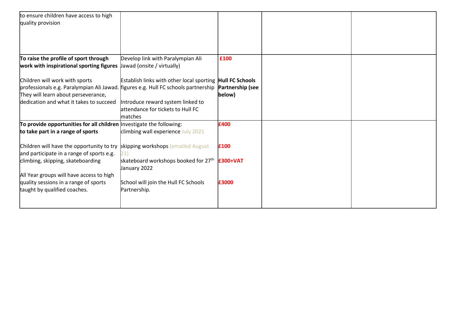| to ensure children have access to high<br>quality provision                                                                                                 |                                                                                          |                            |  |
|-------------------------------------------------------------------------------------------------------------------------------------------------------------|------------------------------------------------------------------------------------------|----------------------------|--|
| To raise the profile of sport through                                                                                                                       | Develop link with Paralympian Ali                                                        | £100                       |  |
| work with inspirational sporting figures                                                                                                                    | Jawad (onsite / virtually)                                                               |                            |  |
| Children will work with sports<br>professionals e.g. Paralympian Ali Jawad. figures e.g. Hull FC schools partnership<br>They will learn about perseverance, | Establish links with other local sporting <b>Hull FC Schools</b>                         | Partnership (see<br>below) |  |
| dedication and what it takes to succeed                                                                                                                     | Introduce reward system linked to<br>attendance for tickets to Hull FC<br><b>matches</b> |                            |  |
| To provide opportunities for all children Investigate the following:                                                                                        |                                                                                          | £400                       |  |
| to take part in a range of sports                                                                                                                           | climbing wall experience July 2021                                                       |                            |  |
| Children will have the opportunity to try skipping workshops (emailed August<br>and participate in a range of sports e.g.                                   |                                                                                          | £100                       |  |
| climbing, skipping, skateboarding                                                                                                                           | skateboard workshops booked for 27 <sup>th</sup><br>January 2022                         | <b>£300+VAT</b>            |  |
| All Year groups will have access to high                                                                                                                    |                                                                                          |                            |  |
| quality sessions in a range of sports<br>taught by qualified coaches.                                                                                       | School will join the Hull FC Schools<br>Partnership.                                     | £3000                      |  |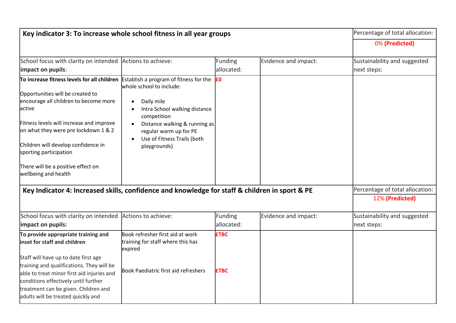| Key indicator 3: To increase whole school fitness in all year groups                           |                                                                    |                |                      | Percentage of total allocation: |  |
|------------------------------------------------------------------------------------------------|--------------------------------------------------------------------|----------------|----------------------|---------------------------------|--|
|                                                                                                |                                                                    |                |                      | 0% (Predicted)                  |  |
| School focus with clarity on intended                                                          | Actions to achieve:                                                | <b>Funding</b> | Evidence and impact: | Sustainability and suggested    |  |
| impact on pupils:                                                                              |                                                                    | allocated:     |                      | next steps:                     |  |
| To increase fitness levels for all children                                                    | Establish a program of fitness for the<br>whole school to include: | £0             |                      |                                 |  |
| Opportunities will be created to                                                               |                                                                    |                |                      |                                 |  |
| encourage all children to become more                                                          | Daily mile<br>$\bullet$                                            |                |                      |                                 |  |
| active                                                                                         | Intra School walking distance<br>$\bullet$<br>competition          |                |                      |                                 |  |
| Fitness levels will increase and improve                                                       | Distance walking & running as<br>$\bullet$                         |                |                      |                                 |  |
| on what they were pre lockdown 1 & 2                                                           | regular warm up for PE                                             |                |                      |                                 |  |
| Children will develop confidence in                                                            | Use of Fitness Trails (both<br>$\bullet$                           |                |                      |                                 |  |
| sporting participation                                                                         | playgrounds)                                                       |                |                      |                                 |  |
| There will be a positive effect on<br>wellbeing and health                                     |                                                                    |                |                      |                                 |  |
| Key Indicator 4: Increased skills, confidence and knowledge for staff & children in sport & PE |                                                                    |                |                      | Percentage of total allocation: |  |
|                                                                                                |                                                                    |                |                      | 12% (Predicted)                 |  |
| School focus with clarity on intended                                                          | Actions to achieve:                                                | Funding        | Evidence and impact: | Sustainability and suggested    |  |
| impact on pupils:                                                                              |                                                                    | allocated:     |                      | next steps:                     |  |
| To provide appropriate training and                                                            | Book refresher first aid at work                                   | <b>ETBC</b>    |                      |                                 |  |
| inset for staff and children                                                                   | training for staff where this has<br>expired                       |                |                      |                                 |  |
| Staff will have up to date first age                                                           |                                                                    |                |                      |                                 |  |
| training and qualifications. They will be                                                      |                                                                    |                |                      |                                 |  |
| able to treat minor first aid injuries and                                                     | Book Paediatric first aid refreshers                               | <b>£TBC</b>    |                      |                                 |  |
| conditions effectively until further                                                           |                                                                    |                |                      |                                 |  |
| treatment can be given. Children and                                                           |                                                                    |                |                      |                                 |  |
| adults will be treated quickly and                                                             |                                                                    |                |                      |                                 |  |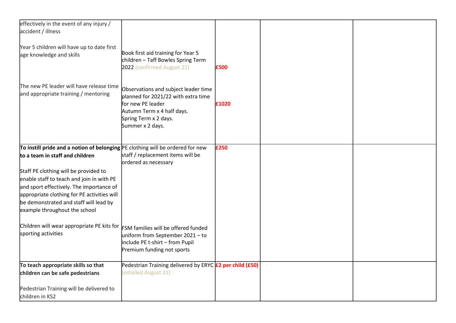| effectively in the event of any injury /                                          |                                                                 |       |  |
|-----------------------------------------------------------------------------------|-----------------------------------------------------------------|-------|--|
| accident / illness                                                                |                                                                 |       |  |
|                                                                                   |                                                                 |       |  |
| Year 5 children will have up to date first                                        |                                                                 |       |  |
| age knowledge and skills                                                          | Book first aid training for Year 5                              |       |  |
|                                                                                   | children - Taff Bowles Spring Term                              |       |  |
|                                                                                   | 2022 (confirmed August 21)                                      | £500  |  |
|                                                                                   |                                                                 |       |  |
| The new PE leader will have release time                                          |                                                                 |       |  |
| and appropriate training / mentoring                                              | Observations and subject leader time                            |       |  |
|                                                                                   | planned for 2021/22 with extra time                             |       |  |
|                                                                                   | for new PE leader<br>Autumn Term x 4 half days.                 | £1020 |  |
|                                                                                   | Spring Term x 2 days.                                           |       |  |
|                                                                                   | Summer x 2 days.                                                |       |  |
|                                                                                   |                                                                 |       |  |
|                                                                                   |                                                                 |       |  |
| To instill pride and a notion of belonging $ PE$ clothing will be ordered for new |                                                                 | £250  |  |
| to a team in staff and children                                                   | staff / replacement items will be                               |       |  |
|                                                                                   | ordered as necessary                                            |       |  |
| Staff PE clothing will be provided to                                             |                                                                 |       |  |
| enable staff to teach and join in with PE                                         |                                                                 |       |  |
| and sport effectively. The importance of                                          |                                                                 |       |  |
| appropriate clothing for PE activities will                                       |                                                                 |       |  |
| be demonstrated and staff will lead by                                            |                                                                 |       |  |
| example throughout the school                                                     |                                                                 |       |  |
|                                                                                   |                                                                 |       |  |
| Children will wear appropriate PE kits for                                        | <b>FSM</b> families will be offered funded                      |       |  |
| sporting activities                                                               | uniform from September 2021 - to                                |       |  |
|                                                                                   | include PE t-shirt - from Pupil                                 |       |  |
|                                                                                   | Premium funding not sports                                      |       |  |
|                                                                                   |                                                                 |       |  |
| To teach appropriate skills so that                                               | Pedestrian Training delivered by ERYC <b>£2 per child (£50)</b> |       |  |
| children can be safe pedestrians                                                  | (emailed August 21)                                             |       |  |
|                                                                                   |                                                                 |       |  |
| Pedestrian Training will be delivered to                                          |                                                                 |       |  |
| children in KS2                                                                   |                                                                 |       |  |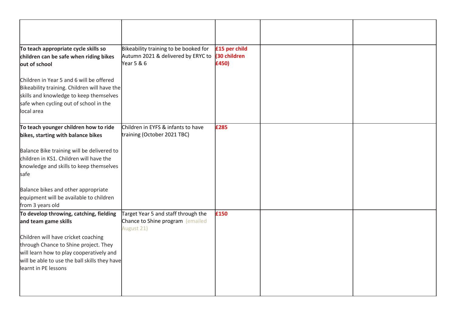| To teach appropriate cycle skills so<br>children can be safe when riding bikes<br>out of school                                                                                                   | Bikeability training to be booked for<br>Autumn 2021 & delivered by ERYC to<br>Year 5 & 6 | £15 per child<br>(30 children<br>£450) |  |
|---------------------------------------------------------------------------------------------------------------------------------------------------------------------------------------------------|-------------------------------------------------------------------------------------------|----------------------------------------|--|
| Children in Year 5 and 6 will be offered<br>Bikeability training. Children will have the<br>skills and knowledge to keep themselves<br>safe when cycling out of school in the<br>local area       |                                                                                           |                                        |  |
| To teach younger children how to ride<br>bikes, starting with balance bikes                                                                                                                       | Children in EYFS & infants to have<br>training (October 2021 TBC)                         | £285                                   |  |
| Balance Bike training will be delivered to<br>children in KS1. Children will have the<br>knowledge and skills to keep themselves<br>safe                                                          |                                                                                           |                                        |  |
| Balance bikes and other appropriate<br>equipment will be available to children<br>from 3 years old                                                                                                |                                                                                           |                                        |  |
| To develop throwing, catching, fielding<br>and team game skills                                                                                                                                   | Target Year 5 and staff through the<br>Chance to Shine program (emailed<br>August 21)     | £150                                   |  |
| Children will have cricket coaching<br>through Chance to Shine project. They<br>will learn how to play cooperatively and<br>will be able to use the ball skills they have<br>learnt in PE lessons |                                                                                           |                                        |  |